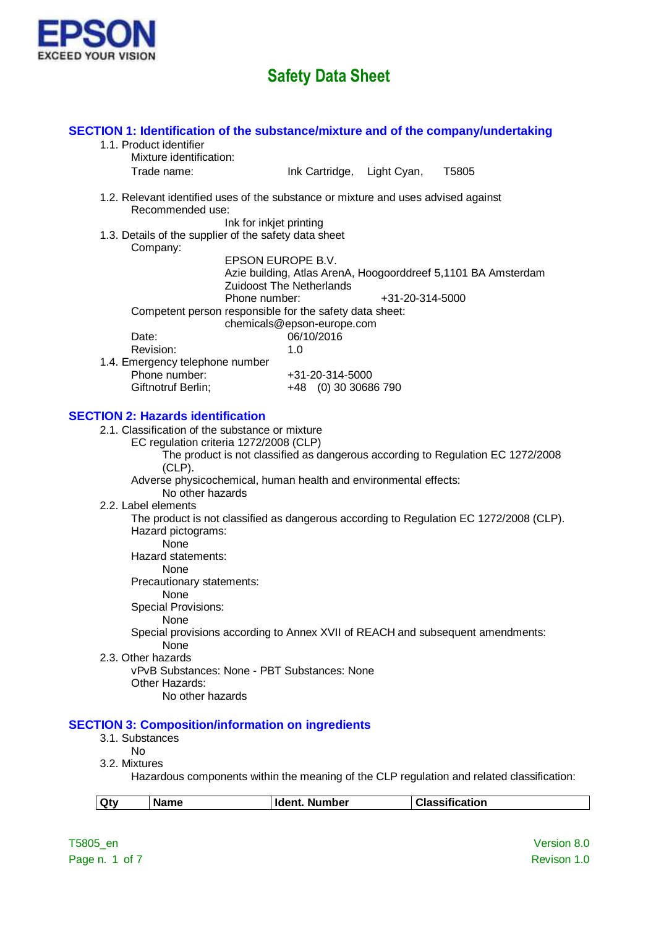

| <b>Ident. Number</b><br>Qty<br><b>Name</b>                                                | <b>Classification</b> |
|-------------------------------------------------------------------------------------------|-----------------------|
| Hazardous components within the meaning of the CLP regulation and related classification. |                       |
| No<br>3.2. Mixtures                                                                       |                       |
| 3.1. Substances                                                                           |                       |
| <b>SECTION 3: Composition/information on ingredients</b>                                  |                       |
| No other hazards                                                                          |                       |
| vPvB Substances: None - PBT Substances: None<br>Other Hazards:                            |                       |
| 2.3. Other hazards                                                                        |                       |
| None                                                                                      |                       |
| None<br>Special provisions according to Annex XVII of REACH and subsequent amendments:    |                       |
| <b>Special Provisions:</b>                                                                |                       |
| None                                                                                      |                       |
| None<br>Precautionary statements:                                                         |                       |
| Hazard statements:                                                                        |                       |
| Hazard pictograms:<br><b>None</b>                                                         |                       |
| The product is not classified as dangerous according to Regulation EC 1272/2008 (CLP).    |                       |
| 2.2. Label elements                                                                       |                       |
| Adverse physicochemical, human health and environmental effects:<br>No other hazards      |                       |
| $(CLP)$ .                                                                                 |                       |
| The product is not classified as dangerous according to Regulation EC 1272/2008           |                       |
| 2.1. Classification of the substance or mixture<br>EC regulation criteria 1272/2008 (CLP) |                       |
| <b>SECTION 2: Hazards identification</b>                                                  |                       |
|                                                                                           |                       |
| Giftnotruf Berlin;<br>+48 (0) 30 30686 790                                                |                       |
| 1.4. Emergency telephone number<br>Phone number:<br>+31-20-314-5000                       |                       |
| Revision:<br>1.0                                                                          |                       |
| 06/10/2016<br>Date:                                                                       |                       |
| Competent person responsible for the safety data sheet:<br>chemicals@epson-europe.com     |                       |
| Phone number:<br>+31-20-314-5000                                                          |                       |
| <b>Zuidoost The Netherlands</b>                                                           |                       |
| EPSON EUROPE B.V.<br>Azie building, Atlas ArenA, Hoogoorddreef 5,1101 BA Amsterdam        |                       |
| Company:                                                                                  |                       |
| 1.3. Details of the supplier of the safety data sheet                                     |                       |
| Recommended use:<br>Ink for inkjet printing                                               |                       |
| 1.2. Relevant identified uses of the substance or mixture and uses advised against        |                       |
|                                                                                           |                       |
| Mixture identification:<br>Trade name:<br>Ink Cartridge, Light Cyan,                      | T5805                 |
| 1.1. Product identifier                                                                   |                       |
| SECTION 1: Identification of the substance/mixture and of the company/undertaking         |                       |
|                                                                                           |                       |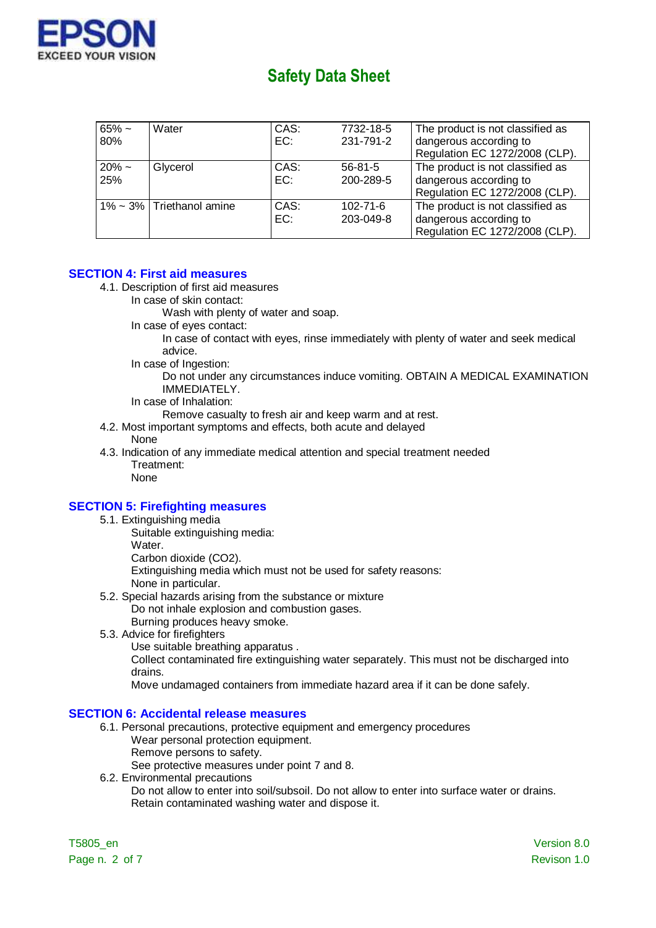

| $65\% \sim$<br>80% | Water                         | CAS:<br>EC: | 7732-18-5<br>231-791-2      | The product is not classified as<br>dangerous according to<br>Regulation EC 1272/2008 (CLP). |
|--------------------|-------------------------------|-------------|-----------------------------|----------------------------------------------------------------------------------------------|
| $20\% \sim$<br>25% | Glycerol                      | CAS:<br>EC: | $56 - 81 - 5$<br>200-289-5  | The product is not classified as<br>dangerous according to<br>Regulation EC 1272/2008 (CLP). |
|                    | $1\%$ ~ 3%   Triethanol amine | CAS:<br>EC: | $102 - 71 - 6$<br>203-049-8 | The product is not classified as<br>dangerous according to<br>Regulation EC 1272/2008 (CLP). |

#### **SECTION 4: First aid measures**

- 4.1. Description of first aid measures
	- In case of skin contact:

Wash with plenty of water and soap.

In case of eyes contact:

In case of contact with eyes, rinse immediately with plenty of water and seek medical advice.

In case of Ingestion:

Do not under any circumstances induce vomiting. OBTAIN A MEDICAL EXAMINATION IMMEDIATELY.

In case of Inhalation:

Remove casualty to fresh air and keep warm and at rest.

- 4.2. Most important symptoms and effects, both acute and delayed None
- 4.3. Indication of any immediate medical attention and special treatment needed Treatment:

### None

#### **SECTION 5: Firefighting measures**

- 5.1. Extinguishing media
	- Suitable extinguishing media: Water Carbon dioxide (CO2). Extinguishing media which must not be used for safety reasons: None in particular.
- 5.2. Special hazards arising from the substance or mixture Do not inhale explosion and combustion gases.
	- Burning produces heavy smoke.
- 5.3. Advice for firefighters
	- Use suitable breathing apparatus .

Collect contaminated fire extinguishing water separately. This must not be discharged into drains.

Move undamaged containers from immediate hazard area if it can be done safely.

#### **SECTION 6: Accidental release measures**

- 6.1. Personal precautions, protective equipment and emergency procedures
	- Wear personal protection equipment.
		- Remove persons to safety.
	- See protective measures under point 7 and 8.
- 6.2. Environmental precautions

Do not allow to enter into soil/subsoil. Do not allow to enter into surface water or drains. Retain contaminated washing water and dispose it.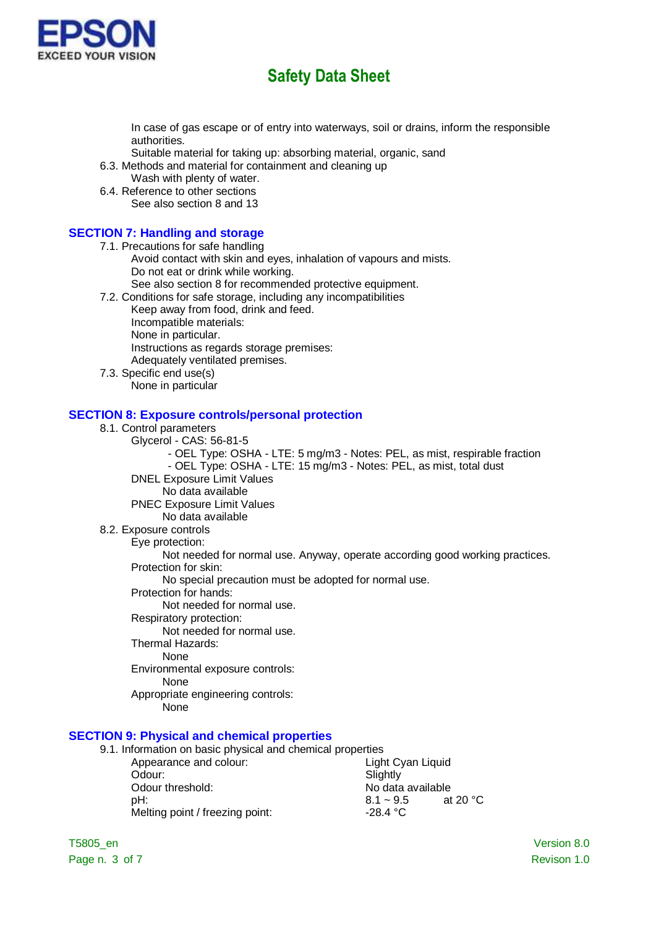

In case of gas escape or of entry into waterways, soil or drains, inform the responsible authorities.

- Suitable material for taking up: absorbing material, organic, sand
- 6.3. Methods and material for containment and cleaning up
- Wash with plenty of water.
- 6.4. Reference to other sections See also section 8 and 13

#### **SECTION 7: Handling and storage**

- 7.1. Precautions for safe handling Avoid contact with skin and eyes, inhalation of vapours and mists. Do not eat or drink while working. See also section 8 for recommended protective equipment.
- 7.2. Conditions for safe storage, including any incompatibilities
	- Keep away from food, drink and feed. Incompatible materials: None in particular. Instructions as regards storage premises: Adequately ventilated premises.
- 7.3. Specific end use(s) .<br>None in particular

#### **SECTION 8: Exposure controls/personal protection**

- 8.1. Control parameters
	- Glycerol CAS: 56-81-5
		- OEL Type: OSHA LTE: 5 mg/m3 Notes: PEL, as mist, respirable fraction - OEL Type: OSHA - LTE: 15 mg/m3 - Notes: PEL, as mist, total dust
	- DNEL Exposure Limit Values
		- No data available
	- PNEC Exposure Limit Values
	- No data available

#### 8.2. Exposure controls

Eye protection:

Not needed for normal use. Anyway, operate according good working practices.

Protection for skin:

No special precaution must be adopted for normal use.

- Protection for hands:
	- Not needed for normal use.
- Respiratory protection:

Not needed for normal use.

Thermal Hazards:

None

- Environmental exposure controls:
	- None
- Appropriate engineering controls:
	- None

### **SECTION 9: Physical and chemical properties**

| 9.1. Information on basic physical and chemical properties |                   |                   |
|------------------------------------------------------------|-------------------|-------------------|
| Appearance and colour:                                     | Light Cyan Liquid |                   |
| Odour:                                                     | Slightly          |                   |
| Odour threshold:                                           | No data available |                   |
| pH:                                                        | $8.1 - 9.5$       | at 20 $\degree$ C |
| Melting point / freezing point:                            | $-28.4 °C$        |                   |
|                                                            |                   |                   |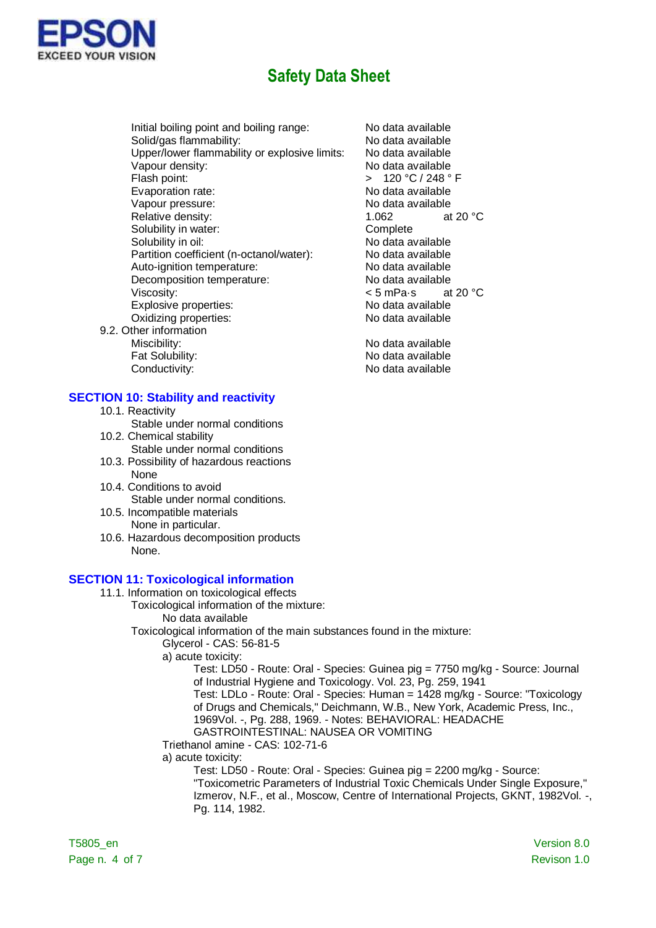

Initial boiling point and boiling range: No data available Solid/gas flammability:<br>
Unper/lower flammability or explosive limits: No data available Upper/lower flammability or explosive limits: Vapour density: No data available Flash point:  $\overline{ }$   $\overline{ }$   $\overline{ }$   $\overline{ }$   $\overline{ }$   $\overline{ }$   $\overline{ }$   $\overline{ }$   $\overline{ }$   $\overline{ }$   $\overline{ }$   $\overline{ }$   $\overline{ }$   $\overline{ }$   $\overline{ }$   $\overline{ }$   $\overline{ }$   $\overline{ }$   $\overline{ }$   $\overline{ }$   $\overline{ }$   $\overline{ }$   $\overline{ }$   $\overline{ }$   $\overline{ }$   $\overline{ }$  Evaporation rate: No data available Vapour pressure: Vapour pressure: No data available Relative density:  $1.062$  at 20 °C Solubility in water: Complete Solubility in oil: No data available Partition coefficient (n-octanol/water): No data available Auto-ignition temperature: No data available Decomposition temperature: No data available Viscosity:  $\leq$  5 mPa·s at 20 °C Explosive properties: No data available Oxidizing properties: No data available

9.2. Other information Miscibility: Miscibility: No data available Fat Solubility: No data available Conductivity: Conductivity: Conductivity:

#### **SECTION 10: Stability and reactivity**

- 10.1. Reactivity
- Stable under normal conditions
- 10.2. Chemical stability Stable under normal conditions
- 10.3. Possibility of hazardous reactions None
- 10.4. Conditions to avoid Stable under normal conditions.
- 10.5. Incompatible materials None in particular.
- 10.6. Hazardous decomposition products None.

#### **SECTION 11: Toxicological information**

- 11.1. Information on toxicological effects
	- Toxicological information of the mixture: No data available
		-
		- Toxicological information of the main substances found in the mixture:
			- Glycerol CAS: 56-81-5
			- a) acute toxicity:

Test: LD50 - Route: Oral - Species: Guinea pig = 7750 mg/kg - Source: Journal of Industrial Hygiene and Toxicology. Vol. 23, Pg. 259, 1941 Test: LDLo - Route: Oral - Species: Human = 1428 mg/kg - Source: "Toxicology of Drugs and Chemicals," Deichmann, W.B., New York, Academic Press, Inc., 1969Vol. -, Pg. 288, 1969. - Notes: BEHAVIORAL: HEADACHE GASTROINTESTINAL: NAUSEA OR VOMITING

Triethanol amine - CAS: 102-71-6

a) acute toxicity:

Test: LD50 - Route: Oral - Species: Guinea pig = 2200 mg/kg - Source: "Toxicometric Parameters of Industrial Toxic Chemicals Under Single Exposure," Izmerov, N.F., et al., Moscow, Centre of International Projects, GKNT, 1982Vol. -, Pg. 114, 1982.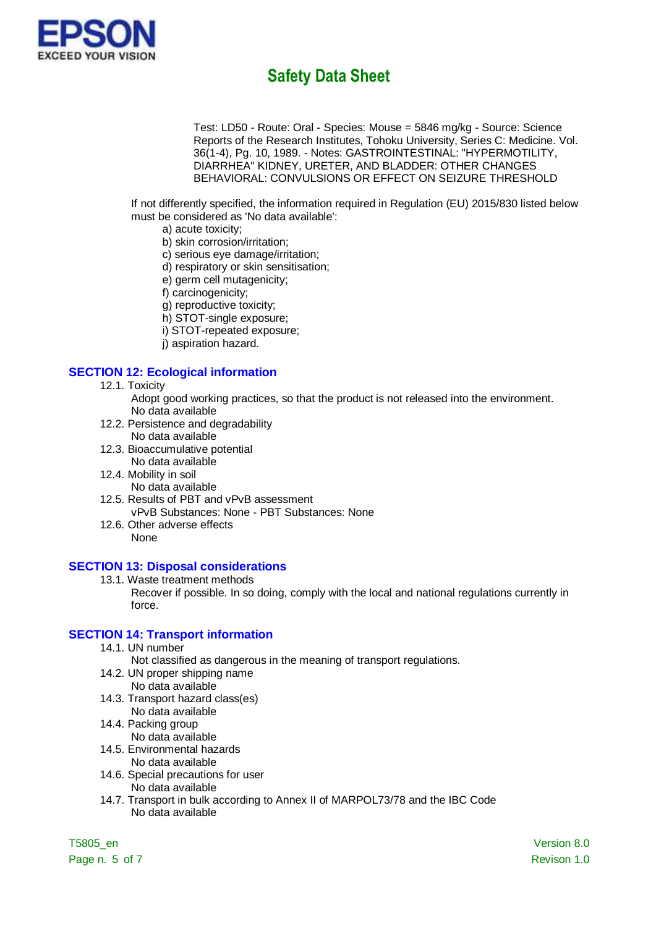

Test: LD50 - Route: Oral - Species: Mouse = 5846 mg/kg - Source: Science Reports of the Research Institutes, Tohoku University, Series C: Medicine. Vol. 36(1-4), Pg. 10, 1989. - Notes: GASTROINTESTINAL: "HYPERMOTILITY, DIARRHEA" KIDNEY, URETER, AND BLADDER: OTHER CHANGES BEHAVIORAL: CONVULSIONS OR EFFECT ON SEIZURE THRESHOLD

If not differently specified, the information required in Regulation (EU) 2015/830 listed below must be considered as 'No data available':

- a) acute toxicity;
- b) skin corrosion/irritation;
- c) serious eye damage/irritation;
- d) respiratory or skin sensitisation;
- e) germ cell mutagenicity;
- f) carcinogenicity;
- g) reproductive toxicity;
- h) STOT-single exposure;
- i) STOT-repeated exposure;
- j) aspiration hazard.

#### **SECTION 12: Ecological information**

12.1. Toxicity

Adopt good working practices, so that the product is not released into the environment. No data available

- 12.2. Persistence and degradability
- No data available
- 12.3. Bioaccumulative potential No data available
- 12.4. Mobility in soil
- No data available
- 12.5. Results of PBT and vPvB assessment
- vPvB Substances: None PBT Substances: None 12.6. Other adverse effects
	- None

#### **SECTION 13: Disposal considerations**

13.1. Waste treatment methods

Recover if possible. In so doing, comply with the local and national regulations currently in force.

#### **SECTION 14: Transport information**

14.1. UN number

Not classified as dangerous in the meaning of transport regulations.

- 14.2. UN proper shipping name
- No data available
- 14.3. Transport hazard class(es) No data available
- 14.4. Packing group
	- No data available
- 14.5. Environmental hazards
	- No data available
- 14.6. Special precautions for user No data available
- 14.7. Transport in bulk according to Annex II of MARPOL73/78 and the IBC Code No data available

Page n. 5 of 7 Revison 1.0

T5805\_en Version 8.0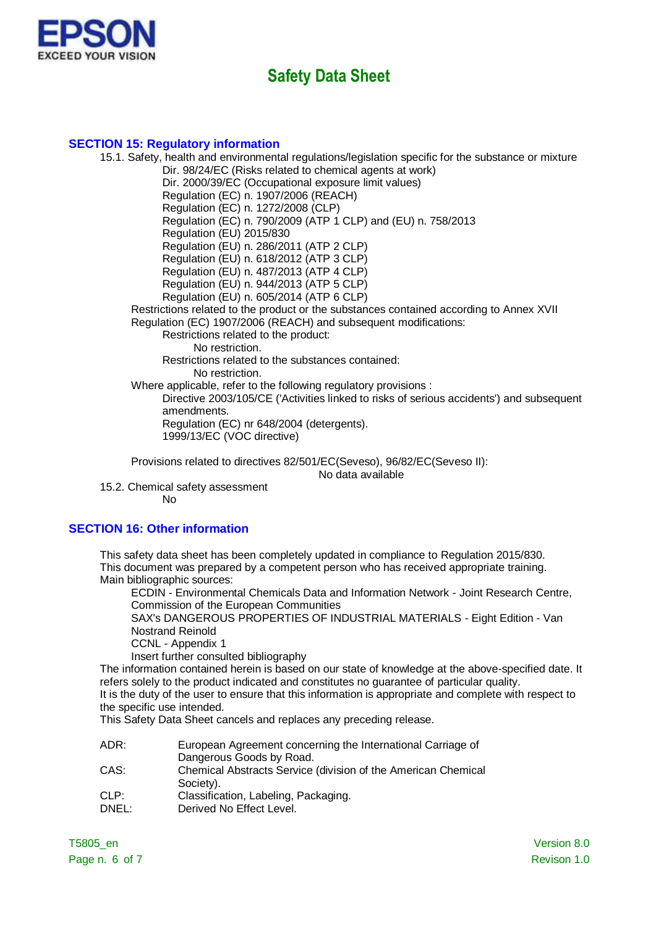

#### **SECTION 15: Regulatory information**

15.1. Safety, health and environmental regulations/legislation specific for the substance or mixture Dir. 98/24/EC (Risks related to chemical agents at work) Dir. 2000/39/EC (Occupational exposure limit values) Regulation (EC) n. 1907/2006 (REACH) Regulation (EC) n. 1272/2008 (CLP) Regulation (EC) n. 790/2009 (ATP 1 CLP) and (EU) n. 758/2013 Regulation (EU) 2015/830 Regulation (EU) n. 286/2011 (ATP 2 CLP) Regulation (EU) n. 618/2012 (ATP 3 CLP) Regulation (EU) n. 487/2013 (ATP 4 CLP) Regulation (EU) n. 944/2013 (ATP 5 CLP) Regulation (EU) n. 605/2014 (ATP 6 CLP) Restrictions related to the product or the substances contained according to Annex XVII Regulation (EC) 1907/2006 (REACH) and subsequent modifications: Restrictions related to the product: No restriction. Restrictions related to the substances contained: No restriction. Where applicable, refer to the following regulatory provisions : Directive 2003/105/CE ('Activities linked to risks of serious accidents') and subsequent amendments. Regulation (EC) nr 648/2004 (detergents). 1999/13/EC (VOC directive)

Provisions related to directives 82/501/EC(Seveso), 96/82/EC(Seveso II):

No data available

15.2. Chemical safety assessment

No

#### **SECTION 16: Other information**

This safety data sheet has been completely updated in compliance to Regulation 2015/830. This document was prepared by a competent person who has received appropriate training. Main bibliographic sources:

ECDIN - Environmental Chemicals Data and Information Network - Joint Research Centre, Commission of the European Communities

SAX's DANGEROUS PROPERTIES OF INDUSTRIAL MATERIALS - Eight Edition - Van Nostrand Reinold

CCNL - Appendix 1

Insert further consulted bibliography

The information contained herein is based on our state of knowledge at the above-specified date. It refers solely to the product indicated and constitutes no guarantee of particular quality. It is the duty of the user to ensure that this information is appropriate and complete with respect to

the specific use intended.

This Safety Data Sheet cancels and replaces any preceding release.

| European Agreement concerning the International Carriage of   |
|---------------------------------------------------------------|
| Dangerous Goods by Road.                                      |
| Chemical Abstracts Service (division of the American Chemical |
| Society).                                                     |
| Classification, Labeling, Packaging.                          |
| Derived No Effect Level.                                      |
|                                                               |